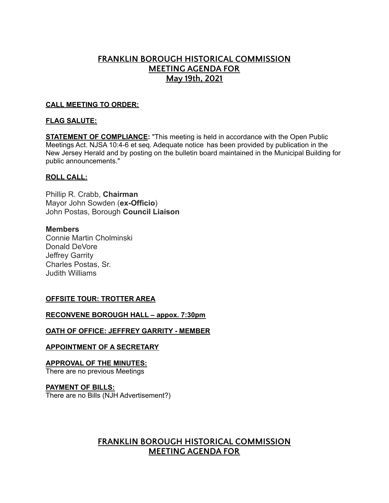# **FRANKLIN BOROUGH HISTORICAL COMMISSION MEETING AGENDA FOR May 19th, 2021**

### **CALL MEETING TO ORDER:**

### **FLAG SALUTE:**

**STATEMENT OF COMPLIANCE:** "This meeting is held in accordance with the Open Public Meetings Act. NJSA 10:4-6 et seq. Adequate notice has been provided by publication in the New Jersey Herald and by posting on the bulletin board maintained in the Municipal Building for public announcements."

### **ROLL CALL:**

Phillip R. Crabb, **Chairman** Mayor John Sowden (**ex-Officio**) John Postas, Borough **Council Liaison**

### **Members**

Connie Martin Cholminski Donald DeVore Jeffrey Garrity Charles Postas, Sr. Judith Williams

### **OFFSITE TOUR: TROTTER AREA**

### **RECONVENE BOROUGH HALL – appox. 7:30pm**

#### **OATH OF OFFICE: JEFFREY GARRITY - MEMBER**

### **APPOINTMENT OF A SECRETARY**

**APPROVAL OF THE MINUTES:** There are no previous Meetings

### **PAYMENT OF BILLS:**

There are no Bills (NJH Advertisement?)

# **FRANKLIN BOROUGH HISTORICAL COMMISSION MEETING AGENDA FOR**